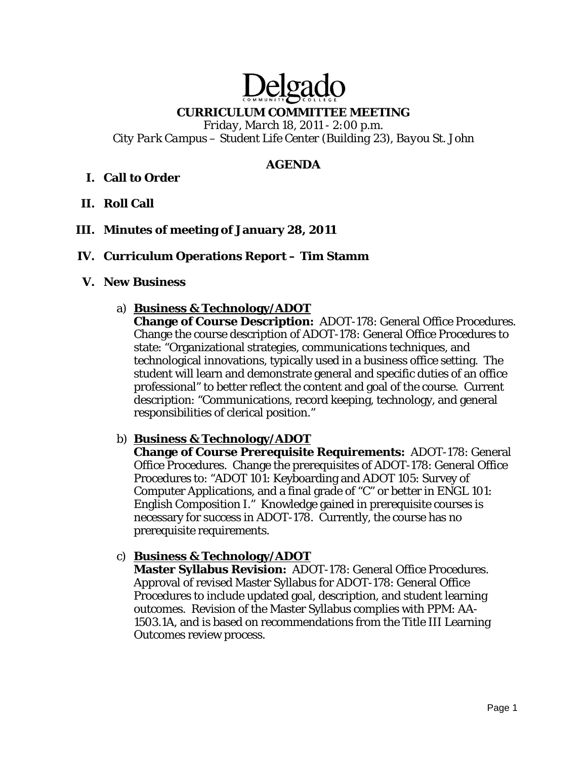# Delga

**CURRICULUM COMMITTEE MEETING** 

*Friday, March 18, 2011 - 2:00 p.m. City Park Campus – Student Life Center (Building 23), Bayou St. John* 

## **AGENDA**

# **I. Call to Order**

- **II. Roll Call**
- **III. Minutes of meeting of January 28, 2011**

## **IV. Curriculum Operations Report – Tim Stamm**

#### **V. New Business**

a) **Business & Technology/ADOT**

**Change of Course Description:** ADOT-178: General Office Procedures. Change the course description of ADOT-178: General Office Procedures to state: "Organizational strategies, communications techniques, and technological innovations, typically used in a business office setting. The student will learn and demonstrate general and specific duties of an office professional" to better reflect the content and goal of the course. Current description: "Communications, record keeping, technology, and general responsibilities of clerical position."

## b) **Business & Technology/ADOT**

**Change of Course Prerequisite Requirements:** ADOT-178: General Office Procedures. Change the prerequisites of ADOT-178: General Office Procedures to: "ADOT 101: Keyboarding and ADOT 105: Survey of Computer Applications, and a final grade of "C" or better in ENGL 101: English Composition I." Knowledge gained in prerequisite courses is necessary for success in ADOT-178. Currently, the course has no prerequisite requirements.

## c) **Business & Technology/ADOT**

**Master Syllabus Revision:** ADOT-178: General Office Procedures. Approval of revised Master Syllabus for ADOT-178: General Office Procedures to include updated goal, description, and student learning outcomes. Revision of the Master Syllabus complies with PPM: AA-1503.1A, and is based on recommendations from the Title III Learning Outcomes review process.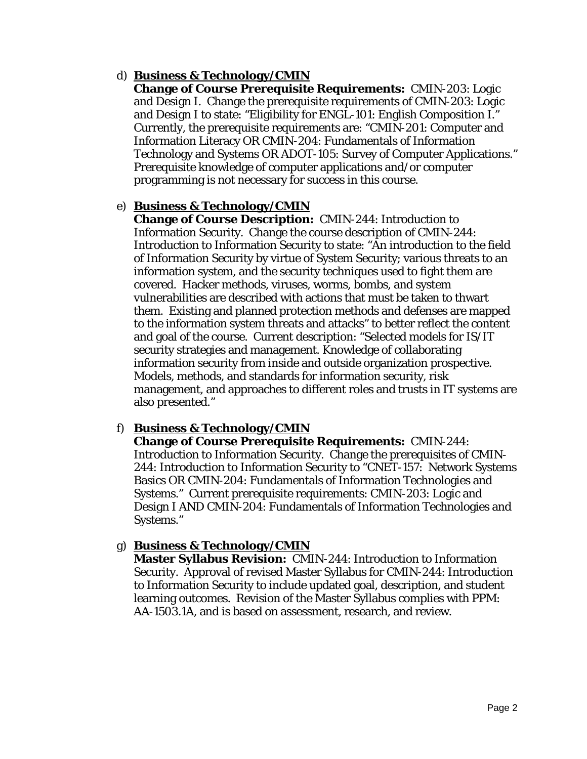## d) **Business & Technology/CMIN**

**Change of Course Prerequisite Requirements:** CMIN-203: Logic and Design I. Change the prerequisite requirements of CMIN-203: Logic and Design I to state: "Eligibility for ENGL-101: English Composition I." Currently, the prerequisite requirements are: "CMIN-201: Computer and Information Literacy OR CMIN-204: Fundamentals of Information Technology and Systems OR ADOT-105: Survey of Computer Applications." Prerequisite knowledge of computer applications and/or computer programming is not necessary for success in this course.

## e) **Business & Technology/CMIN**

**Change of Course Description:** CMIN-244: Introduction to Information Security. Change the course description of CMIN-244: Introduction to Information Security to state: "An introduction to the field of Information Security by virtue of System Security; various threats to an information system, and the security techniques used to fight them are covered. Hacker methods, viruses, worms, bombs, and system vulnerabilities are described with actions that must be taken to thwart them. Existing and planned protection methods and defenses are mapped to the information system threats and attacks" to better reflect the content and goal of the course. Current description: "Selected models for IS/IT security strategies and management. Knowledge of collaborating information security from inside and outside organization prospective. Models, methods, and standards for information security, risk management, and approaches to different roles and trusts in IT systems are also presented."

# f) **Business & Technology/CMIN**

**Change of Course Prerequisite Requirements:** CMIN-244: Introduction to Information Security. Change the prerequisites of CMIN-244: Introduction to Information Security to "CNET-157: Network Systems Basics OR CMIN-204: Fundamentals of Information Technologies and Systems." Current prerequisite requirements: CMIN-203: Logic and Design I AND CMIN-204: Fundamentals of Information Technologies and Systems."

# g) **Business & Technology/CMIN**

**Master Syllabus Revision:** CMIN-244: Introduction to Information Security. Approval of revised Master Syllabus for CMIN-244: Introduction to Information Security to include updated goal, description, and student learning outcomes. Revision of the Master Syllabus complies with PPM: AA-1503.1A, and is based on assessment, research, and review.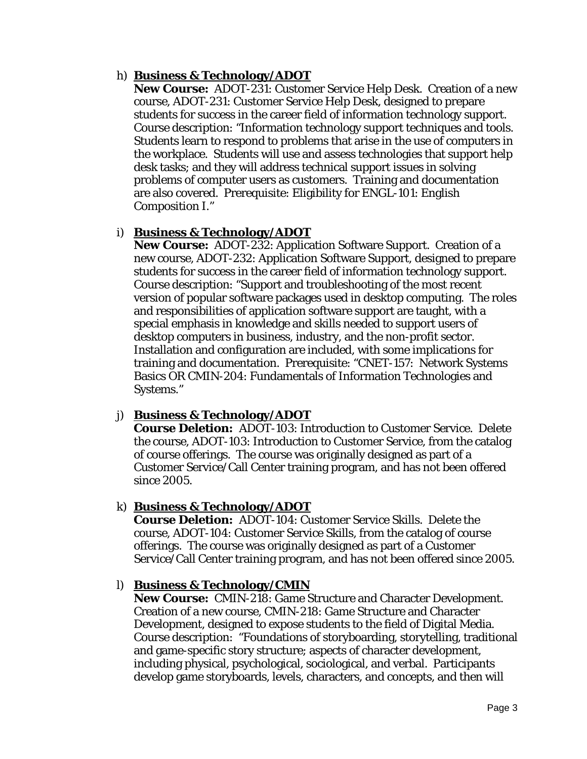## h) **Business & Technology/ADOT**

**New Course:** ADOT-231: Customer Service Help Desk. Creation of a new course, ADOT-231: Customer Service Help Desk, designed to prepare students for success in the career field of information technology support. Course description: "Information technology support techniques and tools. Students learn to respond to problems that arise in the use of computers in the workplace. Students will use and assess technologies that support help desk tasks; and they will address technical support issues in solving problems of computer users as customers. Training and documentation are also covered. Prerequisite: Eligibility for ENGL-101: English Composition I."

## i) **Business & Technology/ADOT**

**New Course:** ADOT-232: Application Software Support. Creation of a new course, ADOT-232: Application Software Support, designed to prepare students for success in the career field of information technology support. Course description: "Support and troubleshooting of the most recent version of popular software packages used in desktop computing. The roles and responsibilities of application software support are taught, with a special emphasis in knowledge and skills needed to support users of desktop computers in business, industry, and the non-profit sector. Installation and configuration are included, with some implications for training and documentation. Prerequisite: "CNET-157: Network Systems Basics OR CMIN-204: Fundamentals of Information Technologies and Systems."

## j) **Business & Technology/ADOT**

**Course Deletion:** ADOT-103: Introduction to Customer Service. Delete the course, ADOT-103: Introduction to Customer Service, from the catalog of course offerings. The course was originally designed as part of a Customer Service/Call Center training program, and has not been offered since 2005.

## k) **Business & Technology/ADOT**

**Course Deletion:** ADOT-104: Customer Service Skills. Delete the course, ADOT-104: Customer Service Skills, from the catalog of course offerings. The course was originally designed as part of a Customer Service/Call Center training program, and has not been offered since 2005.

## l) **Business & Technology/CMIN**

**New Course:** CMIN-218: Game Structure and Character Development. Creation of a new course, CMIN-218: Game Structure and Character Development, designed to expose students to the field of Digital Media. Course description: "Foundations of storyboarding, storytelling, traditional and game-specific story structure; aspects of character development, including physical, psychological, sociological, and verbal. Participants develop game storyboards, levels, characters, and concepts, and then will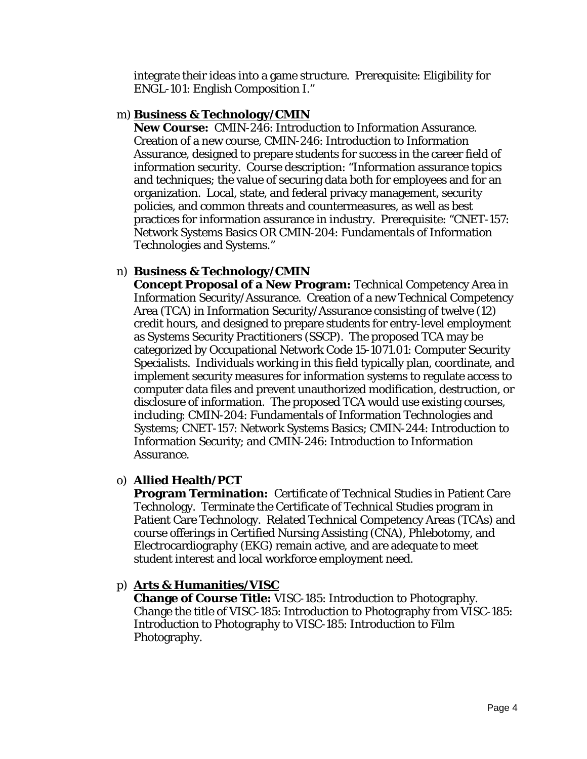integrate their ideas into a game structure. Prerequisite: Eligibility for ENGL-101: English Composition I."

#### m) **Business & Technology/CMIN**

**New Course:** CMIN-246: Introduction to Information Assurance. Creation of a new course, CMIN-246: Introduction to Information Assurance, designed to prepare students for success in the career field of information security. Course description: "Information assurance topics and techniques; the value of securing data both for employees and for an organization. Local, state, and federal privacy management, security policies, and common threats and countermeasures, as well as best practices for information assurance in industry. Prerequisite: "CNET-157: Network Systems Basics OR CMIN-204: Fundamentals of Information Technologies and Systems."

## n) **Business & Technology/CMIN**

**Concept Proposal of a New Program:** Technical Competency Area in Information Security/Assurance. Creation of a new Technical Competency Area (TCA) in Information Security/Assurance consisting of twelve (12) credit hours, and designed to prepare students for entry-level employment as Systems Security Practitioners (SSCP). The proposed TCA may be categorized by Occupational Network Code 15-1071.01: Computer Security Specialists. Individuals working in this field typically plan, coordinate, and implement security measures for information systems to regulate access to computer data files and prevent unauthorized modification, destruction, or disclosure of information. The proposed TCA would use existing courses, including: CMIN-204: Fundamentals of Information Technologies and Systems; CNET-157: Network Systems Basics; CMIN-244: Introduction to Information Security; and CMIN-246: Introduction to Information Assurance.

## o) **Allied Health/PCT**

**Program Termination:** Certificate of Technical Studies in Patient Care Technology. Terminate the Certificate of Technical Studies program in Patient Care Technology. Related Technical Competency Areas (TCAs) and course offerings in Certified Nursing Assisting (CNA), Phlebotomy, and Electrocardiography (EKG) remain active, and are adequate to meet student interest and local workforce employment need.

## p) **Arts & Humanities/VISC**

**Change of Course Title:** VISC-185: Introduction to Photography. Change the title of VISC-185: Introduction to Photography *from* VISC-185: Introduction to Photography *to* VISC-185: Introduction to Film Photography.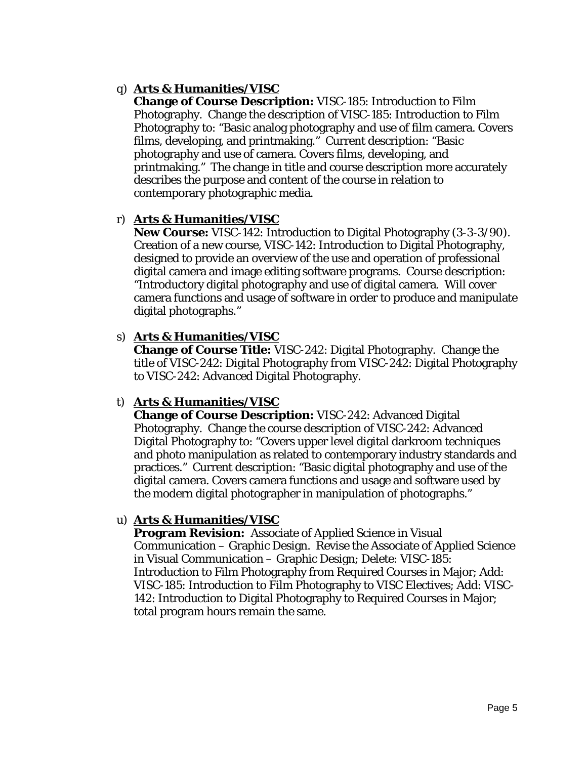## q) **Arts & Humanities/VISC**

**Change of Course Description:** VISC-185: Introduction to Film Photography. Change the description of VISC-185: Introduction to Film Photography to: "Basic analog photography and use of film camera. Covers films, developing, and printmaking." Current description: "Basic photography and use of camera. Covers films, developing, and printmaking." The change in title and course description more accurately describes the purpose and content of the course in relation to contemporary photographic media.

## r) **Arts & Humanities/VISC**

**New Course:** VISC-142: Introduction to Digital Photography (3-3-3/90). Creation of a new course, VISC-142: Introduction to Digital Photography, designed to provide an overview of the use and operation of professional digital camera and image editing software programs. Course description: "Introductory digital photography and use of digital camera. Will cover camera functions and usage of software in order to produce and manipulate digital photographs."

## s) **Arts & Humanities/VISC**

**Change of Course Title:** VISC-242: Digital Photography. Change the title of VISC-242: Digital Photography *from* VISC-242: Digital Photography *to* VISC-242: Advanced Digital Photography.

## t) **Arts & Humanities/VISC**

**Change of Course Description:** VISC-242: Advanced Digital Photography. Change the course description of VISC-242: Advanced Digital Photography to: "Covers upper level digital darkroom techniques and photo manipulation as related to contemporary industry standards and practices." Current description: "Basic digital photography and use of the digital camera. Covers camera functions and usage and software used by the modern digital photographer in manipulation of photographs."

## u) **Arts & Humanities/VISC**

**Program Revision:** Associate of Applied Science in Visual Communication – Graphic Design. Revise the Associate of Applied Science in Visual Communication – Graphic Design; Delete: VISC-185: Introduction to Film Photography from Required Courses in Major; Add: VISC-185: Introduction to Film Photography to VISC Electives; Add: VISC-142: Introduction to Digital Photography to Required Courses in Major; total program hours remain the same.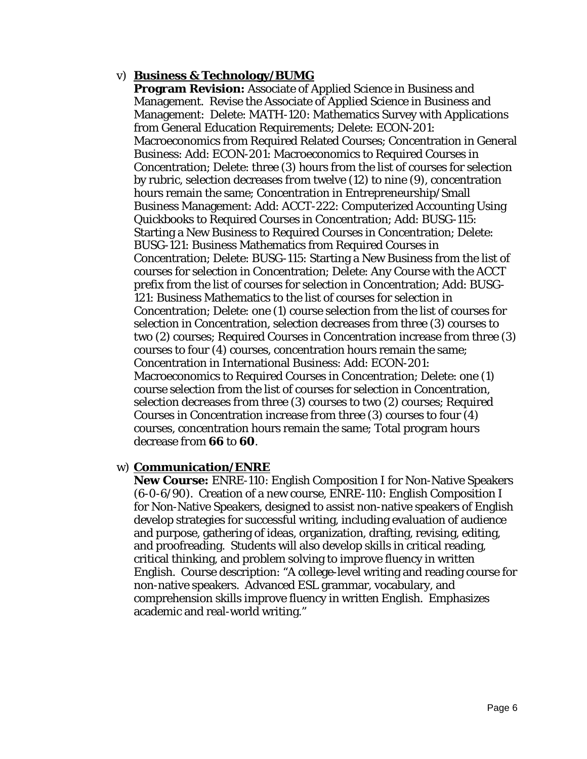#### v) **Business & Technology/BUMG**

**Program Revision:** Associate of Applied Science in Business and Management. Revise the Associate of Applied Science in Business and Management: Delete: MATH-120: Mathematics Survey with Applications from General Education Requirements; Delete: ECON-201: Macroeconomics from Required Related Courses; Concentration in General Business: Add: ECON-201: Macroeconomics to Required Courses in Concentration; Delete: three (3) hours from the list of courses for selection by rubric, selection decreases *from* twelve (12) *to* nine (9), concentration hours remain the same; Concentration in Entrepreneurship/Small Business Management: Add: ACCT-222: Computerized Accounting Using Quickbooks to Required Courses in Concentration; Add: BUSG-115: Starting a New Business to Required Courses in Concentration; Delete: BUSG-121: Business Mathematics from Required Courses in Concentration; Delete: BUSG-115: Starting a New Business from the list of courses for selection in Concentration; Delete: Any Course with the ACCT prefix from the list of courses for selection in Concentration; Add: BUSG-121: Business Mathematics to the list of courses for selection in Concentration; Delete: one (1) course selection from the list of courses for selection in Concentration, selection decreases *from* three (3) courses *to* two (2) courses; Required Courses in Concentration increase *from* three (3) courses *to* four (4) courses, concentration hours remain the same; Concentration in International Business: Add: ECON-201: Macroeconomics to Required Courses in Concentration; Delete: one (1) course selection from the list of courses for selection in Concentration, selection decreases *from* three (3) courses *to* two (2) courses; Required Courses in Concentration increase *from* three (3) courses *to* four (4) courses, concentration hours remain the same; Total program hours decrease *from* **66** *to* **60**.

#### w) **Communication/ENRE**

**New Course:** ENRE-110: English Composition I for Non-Native Speakers (6-0-6/90). Creation of a new course, ENRE-110: English Composition I for Non-Native Speakers, designed to assist non-native speakers of English develop strategies for successful writing, including evaluation of audience and purpose, gathering of ideas, organization, drafting, revising, editing, and proofreading. Students will also develop skills in critical reading, critical thinking, and problem solving to improve fluency in written English. Course description: "A college-level writing and reading course for non-native speakers. Advanced ESL grammar, vocabulary, and comprehension skills improve fluency in written English. Emphasizes academic and real-world writing."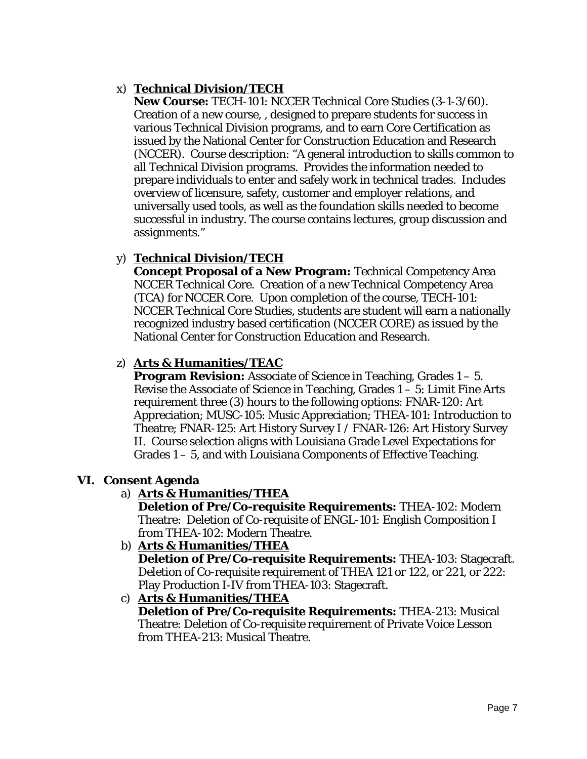# x) **Technical Division/TECH**

**New Course:** TECH-101: NCCER Technical Core Studies (3-1-3/60). Creation of a new course, , designed to prepare students for success in various Technical Division programs, and to earn Core Certification as issued by the National Center for Construction Education and Research (NCCER). Course description: "A general introduction to skills common to all Technical Division programs. Provides the information needed to prepare individuals to enter and safely work in technical trades. Includes overview of licensure, safety, customer and employer relations, and universally used tools, as well as the foundation skills needed to become successful in industry. The course contains lectures, group discussion and assignments."

# y) **Technical Division/TECH**

**Concept Proposal of a New Program:** Technical Competency Area NCCER Technical Core. Creation of a new Technical Competency Area (TCA) for NCCER Core. Upon completion of the course, TECH-101: NCCER Technical Core Studies, students are student will earn a nationally recognized industry based certification (NCCER CORE) as issued by the National Center for Construction Education and Research.

# z) **Arts & Humanities/TEAC**

**Program Revision:** Associate of Science in Teaching, Grades 1 – 5. Revise the Associate of Science in Teaching, Grades 1 – 5: Limit Fine Arts requirement three (3) hours to the following options: FNAR-120: Art Appreciation; MUSC-105: Music Appreciation; THEA-101: Introduction to Theatre; FNAR-125: Art History Survey I / FNAR-126: Art History Survey II. Course selection aligns with Louisiana Grade Level Expectations for Grades 1 – 5, and with Louisiana Components of Effective Teaching.

# **VI. Consent Agenda**

# a) **Arts & Humanities/THEA**

**Deletion of Pre/Co-requisite Requirements:** THEA-102: Modern Theatre: Deletion of Co-requisite of ENGL-101: English Composition I from THEA-102: Modern Theatre.

- b) **Arts & Humanities/THEA Deletion of Pre/Co-requisite Requirements:** THEA-103: Stagecraft. Deletion of Co-requisite requirement of THEA 121 or 122, or 221, or 222: Play Production I-IV from THEA-103: Stagecraft.
- c) **Arts & Humanities/THEA**

**Deletion of Pre/Co-requisite Requirements:** THEA-213: Musical Theatre: Deletion of Co-requisite requirement of Private Voice Lesson from THEA-213: Musical Theatre.